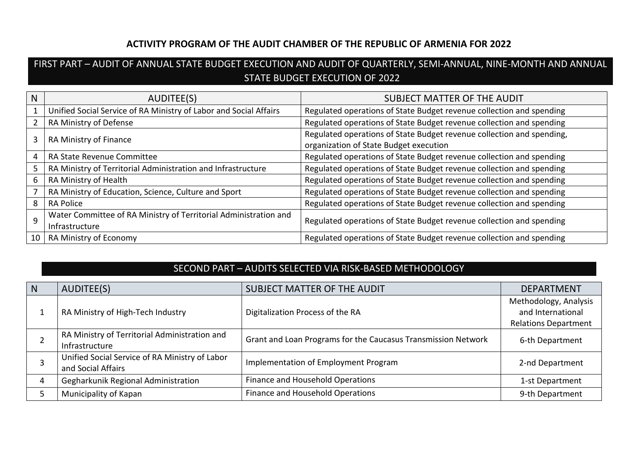## **ACTIVITY PROGRAM OF THE AUDIT CHAMBER OF THE REPUBLIC OF ARMENIA FOR 2022**

## FIRST PART – AUDIT OF ANNUAL STATE BUDGET EXECUTION AND AUDIT OF QUARTERLY, SEMI-ANNUAL, NINE-MONTH AND ANNUAL STATE BUDGET EXECUTION OF 2022

| N  | AUDITEE(S)                                                                         | SUBJECT MATTER OF THE AUDIT                                                                                     |
|----|------------------------------------------------------------------------------------|-----------------------------------------------------------------------------------------------------------------|
|    | Unified Social Service of RA Ministry of Labor and Social Affairs                  | Regulated operations of State Budget revenue collection and spending                                            |
|    | RA Ministry of Defense                                                             | Regulated operations of State Budget revenue collection and spending                                            |
|    | RA Ministry of Finance                                                             | Regulated operations of State Budget revenue collection and spending,<br>organization of State Budget execution |
|    | RA State Revenue Committee                                                         | Regulated operations of State Budget revenue collection and spending                                            |
|    | RA Ministry of Territorial Administration and Infrastructure                       | Regulated operations of State Budget revenue collection and spending                                            |
|    | RA Ministry of Health                                                              | Regulated operations of State Budget revenue collection and spending                                            |
|    | RA Ministry of Education, Science, Culture and Sport                               | Regulated operations of State Budget revenue collection and spending                                            |
| 8  | <b>RA Police</b>                                                                   | Regulated operations of State Budget revenue collection and spending                                            |
| 9  | Water Committee of RA Ministry of Territorial Administration and<br>Infrastructure | Regulated operations of State Budget revenue collection and spending                                            |
| 10 | RA Ministry of Economy                                                             | Regulated operations of State Budget revenue collection and spending                                            |

## SECOND PART – AUDITS SELECTED VIA RISK-BASED METHODOLOGY

| $\mathsf{N}$ | AUDITEE(S)                                                           | SUBJECT MATTER OF THE AUDIT                                   | <b>DEPARTMENT</b>                                                         |
|--------------|----------------------------------------------------------------------|---------------------------------------------------------------|---------------------------------------------------------------------------|
|              | RA Ministry of High-Tech Industry                                    | Digitalization Process of the RA                              | Methodology, Analysis<br>and International<br><b>Relations Department</b> |
|              | RA Ministry of Territorial Administration and<br>Infrastructure      | Grant and Loan Programs for the Caucasus Transmission Network | 6-th Department                                                           |
|              | Unified Social Service of RA Ministry of Labor<br>and Social Affairs | Implementation of Employment Program                          | 2-nd Department                                                           |
| 4            | Gegharkunik Regional Administration                                  | Finance and Household Operations                              | 1-st Department                                                           |
|              | Municipality of Kapan                                                | Finance and Household Operations                              | 9-th Department                                                           |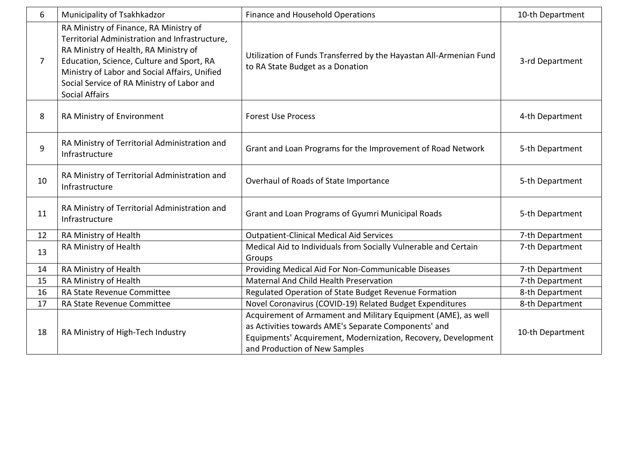| 6              | Municipality of Tsakhkadzor                                                                                                                                                                                                                                                                            | Finance and Household Operations                                                                                                                                                                                        | 10-th Department |
|----------------|--------------------------------------------------------------------------------------------------------------------------------------------------------------------------------------------------------------------------------------------------------------------------------------------------------|-------------------------------------------------------------------------------------------------------------------------------------------------------------------------------------------------------------------------|------------------|
| $\overline{7}$ | RA Ministry of Finance, RA Ministry of<br>Territorial Administration and Infrastructure,<br>RA Ministry of Health, RA Ministry of<br>Education, Science, Culture and Sport, RA<br>Ministry of Labor and Social Affairs, Unified<br>Social Service of RA Ministry of Labor and<br><b>Social Affairs</b> | Utilization of Funds Transferred by the Hayastan All-Armenian Fund<br>to RA State Budget as a Donation                                                                                                                  | 3-rd Department  |
| 8              | RA Ministry of Environment                                                                                                                                                                                                                                                                             | <b>Forest Use Process</b>                                                                                                                                                                                               | 4-th Department  |
| 9              | RA Ministry of Territorial Administration and<br>Infrastructure                                                                                                                                                                                                                                        | Grant and Loan Programs for the Improvement of Road Network                                                                                                                                                             | 5-th Department  |
| 10             | RA Ministry of Territorial Administration and<br>Infrastructure                                                                                                                                                                                                                                        | Overhaul of Roads of State Importance                                                                                                                                                                                   | 5-th Department  |
| 11             | RA Ministry of Territorial Administration and<br>Infrastructure                                                                                                                                                                                                                                        | Grant and Loan Programs of Gyumri Municipal Roads                                                                                                                                                                       | 5-th Department  |
| 12             | RA Ministry of Health                                                                                                                                                                                                                                                                                  | <b>Outpatient-Clinical Medical Aid Services</b>                                                                                                                                                                         | 7-th Department  |
| 13             | RA Ministry of Health                                                                                                                                                                                                                                                                                  | Medical Aid to Individuals from Socially Vulnerable and Certain<br>Groups                                                                                                                                               | 7-th Department  |
| 14             | RA Ministry of Health                                                                                                                                                                                                                                                                                  | Providing Medical Aid For Non-Communicable Diseases                                                                                                                                                                     | 7-th Department  |
| 15             | RA Ministry of Health                                                                                                                                                                                                                                                                                  | <b>Maternal And Child Health Preservation</b>                                                                                                                                                                           | 7-th Department  |
| 16             | RA State Revenue Committee                                                                                                                                                                                                                                                                             | Regulated Operation of State Budget Revenue Formation                                                                                                                                                                   | 8-th Department  |
| 17             | RA State Revenue Committee                                                                                                                                                                                                                                                                             | Novel Coronavirus (COVID-19) Related Budget Expenditures                                                                                                                                                                | 8-th Department  |
| 18             | RA Ministry of High-Tech Industry                                                                                                                                                                                                                                                                      | Acquirement of Armament and Military Equipment (AME), as well<br>as Activities towards AME's Separate Components' and<br>Equipments' Acquirement, Modernization, Recovery, Development<br>and Production of New Samples | 10-th Department |